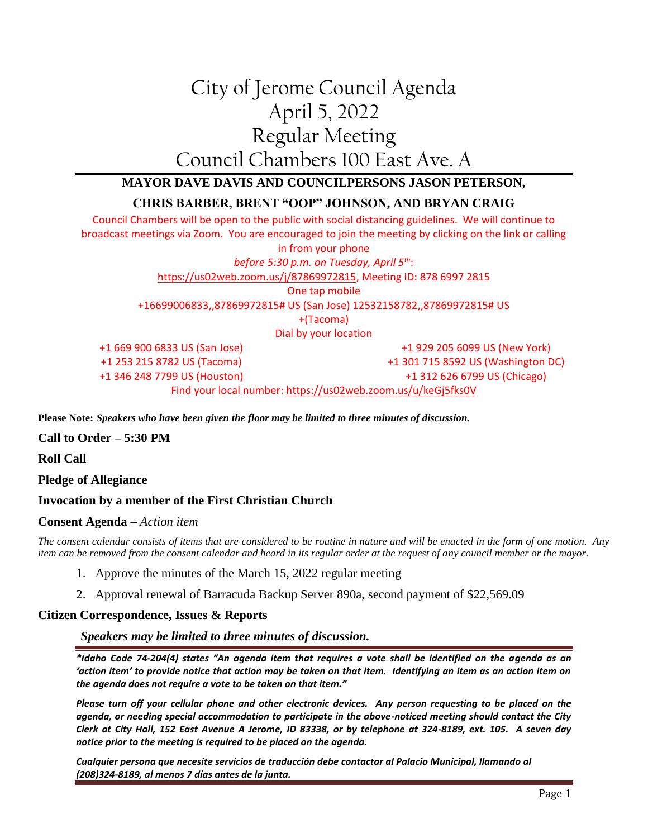# City of Jerome Council Agenda April 5, 2022 Regular Meeting Council Chambers 100 East Ave. A

# **MAYOR DAVE DAVIS AND COUNCILPERSONS JASON PETERSON,**

# **CHRIS BARBER, BRENT "OOP" JOHNSON, AND BRYAN CRAIG**

Council Chambers will be open to the public with social distancing guidelines. We will continue to broadcast meetings via Zoom. You are encouraged to join the meeting by clicking on the link or calling in from your phone *before 5:30 p.m. on Tuesday, April 5th*: [https://us02web.zoom.us/j/87869972815,](https://us02web.zoom.us/j/87869972815) Meeting ID: 878 6997 2815 One tap mobile +16699006833,,87869972815# US (San Jose) 12532158782,,87869972815# US +(Tacoma) Dial by your location +1 669 900 6833 US (San Jose) +1 253 215 8782 US (Tacoma) +1 346 248 7799 US (Houston) +1 929 205 6099 US (New York) +1 301 715 8592 US (Washington DC) +1 312 626 6799 US (Chicago)

Find your local number[: https://us02web.zoom.us/u/keGj5fks0V](https://us02web.zoom.us/u/keGj5fks0V)

**Please Note:** *Speakers who have been given the floor may be limited to three minutes of discussion.*

**Call to Order – 5:30 PM**

**Roll Call**

**Pledge of Allegiance**

#### **Invocation by a member of the First Christian Church**

#### **Consent Agenda –** *Action item*

*The consent calendar consists of items that are considered to be routine in nature and will be enacted in the form of one motion. Any item can be removed from the consent calendar and heard in its regular order at the request of any council member or the mayor.*

- 1. Approve the minutes of the March 15, 2022 regular meeting
- 2. Approval renewal of Barracuda Backup Server 890a, second payment of \$22,569.09

#### **Citizen Correspondence, Issues & Reports**

*Speakers may be limited to three minutes of discussion.*

*\*Idaho Code 74-204(4) states "An agenda item that requires a vote shall be identified on the agenda as an 'action item' to provide notice that action may be taken on that item. Identifying an item as an action item on the agenda does not require a vote to be taken on that item."*

*Please turn off your cellular phone and other electronic devices. Any person requesting to be placed on the agenda, or needing special accommodation to participate in the above-noticed meeting should contact the City Clerk at City Hall, 152 East Avenue A Jerome, ID 83338, or by telephone at 324-8189, ext. 105. A seven day notice prior to the meeting is required to be placed on the agenda.* 

*Cualquier persona que necesite servicios de traducción debe contactar al Palacio Municipal, llamando al (208)324-8189, al menos 7 días antes de la junta.*